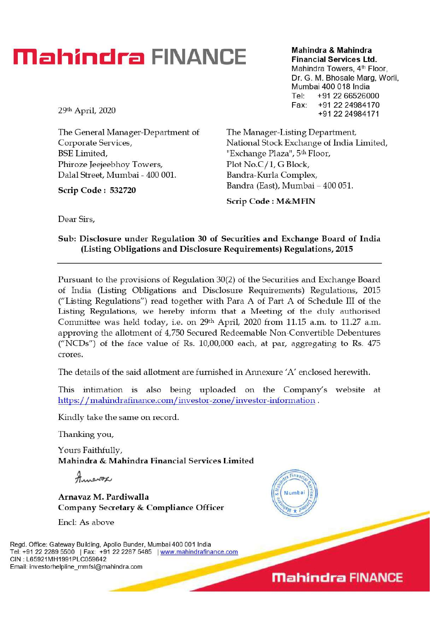## **Mahindra FINANCE**

29th April, 2020

The General Manager-Department of Corporate Services, BSE Limited, Phiroze Jeejeebhoy Towers, Dalal Street, Mumbai - 400 001.

**Scrip Code : 532720** 

**Mahindra & Mahindra Financial Services Ltd.**  Mahindra Towers, 4<sup>th</sup> Floor, Dr. G. M. Bhosale Marg, Worli, Mumbai 400 018 India Tel: +91 22 66526000 Fax: +91 22 24984170 +91 22 24984171

The Manager-Listing Department, National Stock Exchange of India Limited, "Exchange Plaza", 5<sup>th</sup> Floor, Plot No.C/1, G Block, Bandra-Kurla Complex, Bandra (East), Mumbai - 400 051.

**Scrip Code : M&MFIN** 

**Dear Sirs,** 

### **Sub: Disclosure under Regulation 30 of Securities and Exchange Board of India (Listing Obligations and Disclosure Requirements) Regulations, 2015**

**Pursuant to** the provisions of Regulation 30(2) of the Securities and Exchange Board of India (Listing Obligations and Disclosure Requirements) Regulations, 2015 ("Listing Regulations") read together with Para A of Part A of Schedule III of the Listing Regulations, we hereby inform that a Meeting of the duly authorised Committee was held today, i.e. on 29th April, 2020 from 11.15 a.m. to 11.27 a.m. approving the allotment of 4,750 Secured Redeemable Non-Convertible Debentures ("NCDs") of the face value of Rs. 10,00,000 each, at par, aggregating to Rs. 475 cr ores.

The details of the said allotment are furnished in Annexure 'A' enclosed herewith.

This intimation is also being uploaded on the Company's website at https://mahindrafinance.com/investor-zone/investor-information.

Kindly take the same on record.

Thanking you,

Yours Faithfully, **Mahindra & Mahindra Financial Services Limited** 

Annavox

**Arnavaz M. Pardiwalla Company Secretary & Compliance Officer** 

End: As above

Regd. Office: Gateway Building, Apollo Bunder, Mumbai 400 001 India Tel: +91 22 2289 5500 | Fax: +91 22 2287 5485 | www.mahindrafinance.com CIN : L65921MH1991PLC059642 Email: investorhelpline\_mmfsl@mahindra.com



**Mahindra FINANCE**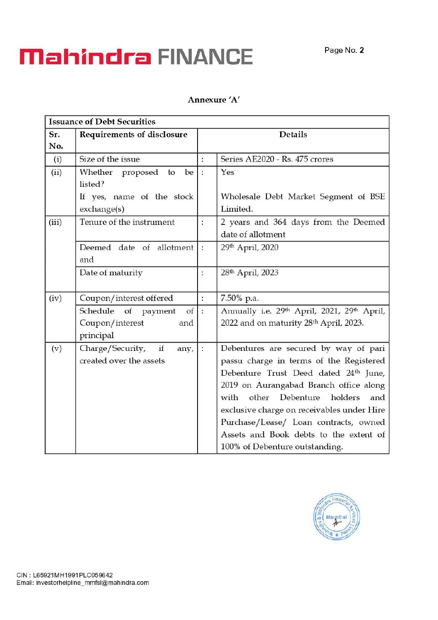# **Mahindra FINANCE** Page No. 2

#### Annexure 'A'

| <b>Issuance of Debt Securities</b> |                                          |                          |                                                                     |  |
|------------------------------------|------------------------------------------|--------------------------|---------------------------------------------------------------------|--|
| Sr.                                | Requirements of disclosure               |                          | <b>Details</b>                                                      |  |
| No.                                |                                          |                          |                                                                     |  |
| (i)                                | Size of the issue                        | $\ddot{\cdot}$           | Series AE2020 - Rs. 475 crores                                      |  |
| (ii)                               | Whether proposed<br>be<br>to<br>listed?  | $\ddot{\cdot}$           | Yes                                                                 |  |
|                                    | If yes, name of the stock<br>exchange(s) |                          | Wholesale Debt Market Segment of BSE<br>Limited.                    |  |
| (iii)                              | Tenure of the instrument                 | :                        | 2 years and 364 days from the Deemed<br>date of allotment           |  |
|                                    | Deemed date of allotment<br>and          | $\ddot{\cdot}$           | 29th April, 2020                                                    |  |
|                                    | Date of maturity                         | $\vdots$                 | 28th April, 2023                                                    |  |
| (iv)                               | Coupon/interest offered                  | $\vdots$                 | 7.50% p.a.                                                          |  |
|                                    | Schedule of payment<br>of                | $\overline{\mathcal{L}}$ | Annually i.e. 29 <sup>th</sup> April, 2021, 29 <sup>th</sup> April, |  |
|                                    | Coupon/interest<br>and                   |                          | 2022 and on maturity 28th April, 2023.                              |  |
|                                    | principal                                |                          |                                                                     |  |
| (v)                                | if<br>Charge/Security,<br>any,           | $\ddot{\cdot}$           | Debentures are secured by way of pari                               |  |
|                                    | created over the assets                  |                          | passu charge in terms of the Registered                             |  |
|                                    |                                          |                          | Debenture Trust Deed dated 24 <sup>th</sup> June,                   |  |
|                                    |                                          |                          | 2019 on Aurangabad Branch office along                              |  |
|                                    |                                          |                          | Debenture<br>other<br>holders<br>with<br>and                        |  |
|                                    |                                          |                          | exclusive charge on receivables under Hire                          |  |
|                                    |                                          |                          | Purchase/Lease/ Loan contracts, owned                               |  |
|                                    |                                          |                          | Assets and Book debts to the extent of                              |  |
|                                    |                                          |                          | 100% of Debenture outstanding.                                      |  |